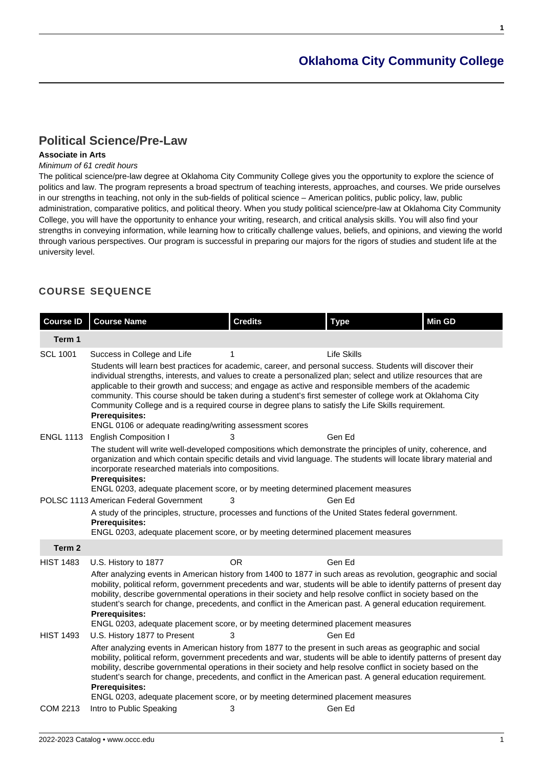**1**

# **[Political Science/Pre-Law](https://www.occc.edu/catalog/degree-programs/social-sciences/political-science-pre-law/)**

# **Associate in Arts**

# Minimum of 61 credit hours

The political science/pre-law degree at Oklahoma City Community College gives you the opportunity to explore the science of politics and law. The program represents a broad spectrum of teaching interests, approaches, and courses. We pride ourselves in our strengths in teaching, not only in the sub-fields of political science – American politics, public policy, law, public administration, comparative politics, and political theory. When you study political science/pre-law at Oklahoma City Community College, you will have the opportunity to enhance your writing, research, and critical analysis skills. You will also find your strengths in conveying information, while learning how to critically challenge values, beliefs, and opinions, and viewing the world through various perspectives. Our program is successful in preparing our majors for the rigors of studies and student life at the university level.

# **COURSE SEQUENCE**

| <b>Course ID</b>             | <b>Course Name</b>                                                                                                                                                                                                                                                                                                                                                                                                                                                                                                                                                                                                                                                                                | <b>Credits</b> | <b>Type</b>      | Min GD |  |
|------------------------------|---------------------------------------------------------------------------------------------------------------------------------------------------------------------------------------------------------------------------------------------------------------------------------------------------------------------------------------------------------------------------------------------------------------------------------------------------------------------------------------------------------------------------------------------------------------------------------------------------------------------------------------------------------------------------------------------------|----------------|------------------|--------|--|
| Term 1                       |                                                                                                                                                                                                                                                                                                                                                                                                                                                                                                                                                                                                                                                                                                   |                |                  |        |  |
| <b>SCL 1001</b>              | Life Skills<br>Success in College and Life<br>1<br>Students will learn best practices for academic, career, and personal success. Students will discover their<br>individual strengths, interests, and values to create a personalized plan; select and utilize resources that are<br>applicable to their growth and success; and engage as active and responsible members of the academic<br>community. This course should be taken during a student's first semester of college work at Oklahoma City<br>Community College and is a required course in degree plans to satisfy the Life Skills requirement.<br><b>Prerequisites:</b><br>ENGL 0106 or adequate reading/writing assessment scores |                |                  |        |  |
| <b>ENGL 1113</b>             | <b>English Composition I</b><br>The student will write well-developed compositions which demonstrate the principles of unity, coherence, and<br>organization and which contain specific details and vivid language. The students will locate library material and<br>incorporate researched materials into compositions.<br><b>Prerequisites:</b><br>ENGL 0203, adequate placement score, or by meeting determined placement measures                                                                                                                                                                                                                                                             | 3              | Gen Ed           |        |  |
| Term 2                       | POLSC 1113 American Federal Government<br>A study of the principles, structure, processes and functions of the United States federal government.<br><b>Prerequisites:</b><br>ENGL 0203, adequate placement score, or by meeting determined placement measures                                                                                                                                                                                                                                                                                                                                                                                                                                     | 3              | Gen Ed           |        |  |
| <b>HIST 1483</b>             | <b>OR</b><br>Gen Ed<br>U.S. History to 1877<br>After analyzing events in American history from 1400 to 1877 in such areas as revolution, geographic and social<br>mobility, political reform, government precedents and war, students will be able to identify patterns of present day<br>mobility, describe governmental operations in their society and help resolve conflict in society based on the<br>student's search for change, precedents, and conflict in the American past. A general education requirement.<br><b>Prerequisites:</b><br>ENGL 0203, adequate placement score, or by meeting determined placement measures                                                              |                |                  |        |  |
| <b>HIST 1493</b><br>COM 2213 | U.S. History 1877 to Present<br>After analyzing events in American history from 1877 to the present in such areas as geographic and social<br>mobility, political reform, government precedents and war, students will be able to identify patterns of present day<br>mobility, describe governmental operations in their society and help resolve conflict in society based on the<br>student's search for change, precedents, and conflict in the American past. A general education requirement.<br><b>Prerequisites:</b><br>ENGL 0203, adequate placement score, or by meeting determined placement measures<br>Intro to Public Speaking                                                      | 3<br>3         | Gen Ed<br>Gen Ed |        |  |
|                              |                                                                                                                                                                                                                                                                                                                                                                                                                                                                                                                                                                                                                                                                                                   |                |                  |        |  |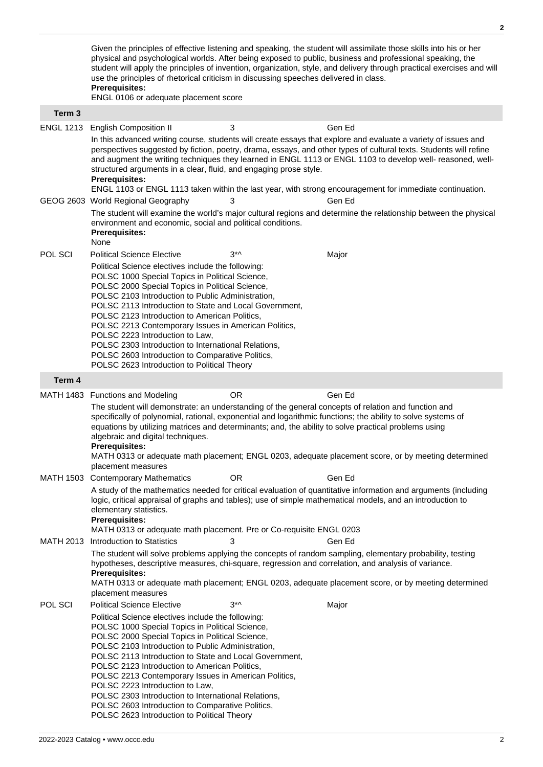Given the principles of effective listening and speaking, the student will assimilate those skills into his or her physical and psychological worlds. After being exposed to public, business and professional speaking, the student will apply the principles of invention, organization, style, and delivery through practical exercises and will use the principles of rhetorical criticism in discussing speeches delivered in class. **Prerequisites:** ENGL 0106 or adequate placement score **Term 3** ENGL 1213 English Composition II 3 Gen Ed In this advanced writing course, students will create essays that explore and evaluate a variety of issues and perspectives suggested by fiction, poetry, drama, essays, and other types of cultural texts. Students will refine and augment the writing techniques they learned in ENGL 1113 or ENGL 1103 to develop well- reasoned, wellstructured arguments in a clear, fluid, and engaging prose style. **Prerequisites:** ENGL 1103 or ENGL 1113 taken within the last year, with strong encouragement for immediate continuation. GEOG 2603 World Regional Geography 3 Gen Ed The student will examine the world's major cultural regions and determine the relationship between the physical environment and economic, social and political conditions. **Prerequisites:** None POL SCI Political Science Elective 3<sup>\*^</sup> 3<sup>\*^</sup> Major Political Science electives include the following: POLSC 1000 Special Topics in Political Science. POLSC 2000 Special Topics in Political Science, POLSC 2103 Introduction to Public Administration, POLSC 2113 Introduction to State and Local Government, POLSC 2123 Introduction to American Politics, POLSC 2213 Contemporary Issues in American Politics, POLSC 2223 Introduction to Law, POLSC 2303 Introduction to International Relations, POLSC 2603 Introduction to Comparative Politics, POLSC 2623 Introduction to Political Theory **Term 4** MATH 1483 Functions and Modeling COR COR Gen Ed The student will demonstrate: an understanding of the general concepts of relation and function and specifically of polynomial, rational, exponential and logarithmic functions; the ability to solve systems of equations by utilizing matrices and determinants; and, the ability to solve practical problems using algebraic and digital techniques. **Prerequisites:** MATH 0313 or adequate math placement; ENGL 0203, adequate placement score, or by meeting determined placement measures MATH 1503 Contemporary Mathematics OR Gen Ed A study of the mathematics needed for critical evaluation of quantitative information and arguments (including logic, critical appraisal of graphs and tables); use of simple mathematical models, and an introduction to elementary statistics. **Prerequisites:** MATH 0313 or adequate math placement. Pre or Co-requisite ENGL 0203 MATH 2013 Introduction to Statistics and 3 Gen Ed The student will solve problems applying the concepts of random sampling, elementary probability, testing hypotheses, descriptive measures, chi-square, regression and correlation, and analysis of variance. **Prerequisites:** MATH 0313 or adequate math placement; ENGL 0203, adequate placement score, or by meeting determined placement measures POL SCI Political Science Elective 3<sup>\*^</sup> 3<sup>\*^</sup> Major Political Science electives include the following: POLSC 1000 Special Topics in Political Science, POLSC 2000 Special Topics in Political Science, POLSC 2103 Introduction to Public Administration, POLSC 2113 Introduction to State and Local Government, POLSC 2123 Introduction to American Politics, POLSC 2213 Contemporary Issues in American Politics, POLSC 2223 Introduction to Law, POLSC 2303 Introduction to International Relations, POLSC 2603 Introduction to Comparative Politics, POLSC 2623 Introduction to Political Theory

**2**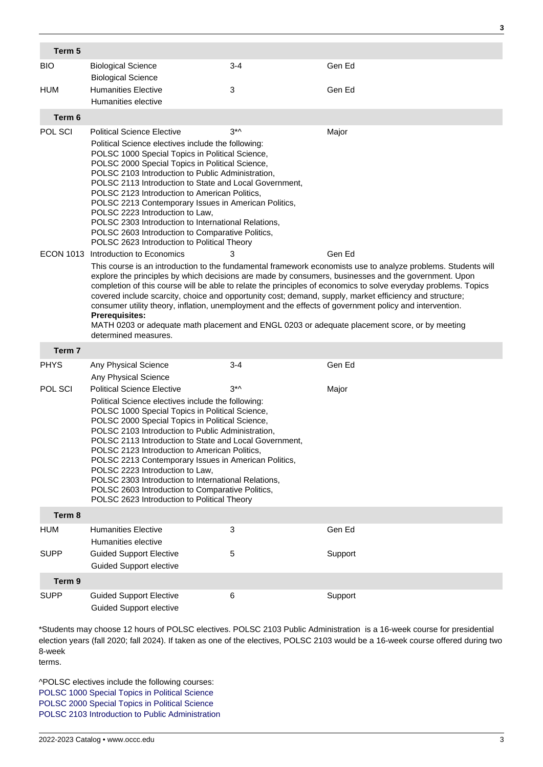| Term 5            |                                                                                                                                                                                                                                                                                                                                                                                                                                                                                                                                                                                                                                                                                                                  |             |         |  |  |
|-------------------|------------------------------------------------------------------------------------------------------------------------------------------------------------------------------------------------------------------------------------------------------------------------------------------------------------------------------------------------------------------------------------------------------------------------------------------------------------------------------------------------------------------------------------------------------------------------------------------------------------------------------------------------------------------------------------------------------------------|-------------|---------|--|--|
| <b>BIO</b>        | <b>Biological Science</b>                                                                                                                                                                                                                                                                                                                                                                                                                                                                                                                                                                                                                                                                                        | 3-4         | Gen Ed  |  |  |
| <b>HUM</b>        | <b>Biological Science</b><br><b>Humanities Elective</b><br>Humanities elective                                                                                                                                                                                                                                                                                                                                                                                                                                                                                                                                                                                                                                   | 3           | Gen Ed  |  |  |
| Term 6            |                                                                                                                                                                                                                                                                                                                                                                                                                                                                                                                                                                                                                                                                                                                  |             |         |  |  |
| POL SCI           | <b>Political Science Elective</b>                                                                                                                                                                                                                                                                                                                                                                                                                                                                                                                                                                                                                                                                                | $3^{\star}$ | Major   |  |  |
|                   | Political Science electives include the following:<br>POLSC 1000 Special Topics in Political Science,<br>POLSC 2000 Special Topics in Political Science,<br>POLSC 2103 Introduction to Public Administration,<br>POLSC 2113 Introduction to State and Local Government,<br>POLSC 2123 Introduction to American Politics,<br>POLSC 2213 Contemporary Issues in American Politics,<br>POLSC 2223 Introduction to Law,<br>POLSC 2303 Introduction to International Relations,<br>POLSC 2603 Introduction to Comparative Politics,<br>POLSC 2623 Introduction to Political Theory                                                                                                                                    |             |         |  |  |
|                   | ECON 1013 Introduction to Economics                                                                                                                                                                                                                                                                                                                                                                                                                                                                                                                                                                                                                                                                              | 3           | Gen Ed  |  |  |
|                   | This course is an introduction to the fundamental framework economists use to analyze problems. Students will<br>explore the principles by which decisions are made by consumers, businesses and the government. Upon<br>completion of this course will be able to relate the principles of economics to solve everyday problems. Topics<br>covered include scarcity, choice and opportunity cost; demand, supply, market efficiency and structure;<br>consumer utility theory, inflation, unemployment and the effects of government policy and intervention.<br><b>Prerequisites:</b><br>MATH 0203 or adequate math placement and ENGL 0203 or adequate placement score, or by meeting<br>determined measures. |             |         |  |  |
| Term 7            |                                                                                                                                                                                                                                                                                                                                                                                                                                                                                                                                                                                                                                                                                                                  |             |         |  |  |
| <b>PHYS</b>       | Any Physical Science                                                                                                                                                                                                                                                                                                                                                                                                                                                                                                                                                                                                                                                                                             | 3-4         | Gen Ed  |  |  |
|                   | Any Physical Science                                                                                                                                                                                                                                                                                                                                                                                                                                                                                                                                                                                                                                                                                             | $3^{\star}$ |         |  |  |
| POL SCI           | <b>Political Science Elective</b><br>Major<br>Political Science electives include the following:<br>POLSC 1000 Special Topics in Political Science,<br>POLSC 2000 Special Topics in Political Science,<br>POLSC 2103 Introduction to Public Administration,<br>POLSC 2113 Introduction to State and Local Government,<br>POLSC 2123 Introduction to American Politics,<br>POLSC 2213 Contemporary Issues in American Politics,<br>POLSC 2223 Introduction to Law,<br>POLSC 2303 Introduction to International Relations,<br>POLSC 2603 Introduction to Comparative Politics,<br>POLSC 2623 Introduction to Political Theory                                                                                      |             |         |  |  |
| Term 8            |                                                                                                                                                                                                                                                                                                                                                                                                                                                                                                                                                                                                                                                                                                                  |             |         |  |  |
| HUM               | <b>Humanities Elective</b><br>Humanities elective                                                                                                                                                                                                                                                                                                                                                                                                                                                                                                                                                                                                                                                                | 3           | Gen Ed  |  |  |
| <b>SUPP</b>       | <b>Guided Support Elective</b><br><b>Guided Support elective</b>                                                                                                                                                                                                                                                                                                                                                                                                                                                                                                                                                                                                                                                 | 5           | Support |  |  |
| Term <sub>9</sub> |                                                                                                                                                                                                                                                                                                                                                                                                                                                                                                                                                                                                                                                                                                                  |             |         |  |  |
| <b>SUPP</b>       | <b>Guided Support Elective</b><br><b>Guided Support elective</b>                                                                                                                                                                                                                                                                                                                                                                                                                                                                                                                                                                                                                                                 | 6           | Support |  |  |

\*Students may choose 12 hours of POLSC electives. POLSC 2103 Public Administration is a 16-week course for presidential election years (fall 2020; fall 2024). If taken as one of the electives, POLSC 2103 would be a 16-week course offered during two 8-week

terms.

^POLSC electives include the following courses: [POLSC 1000 Special Topics in Political Science](https://www.occc.edu/catalog/courses/political-science/special-topics-in-political-science/) [POLSC 2000 Special Topics in Political Science](https://www.occc.edu/catalog/courses/political-science/special-topics-in-political-science-2/) [POLSC 2103 Introduction to Public Administration](https://www.occc.edu/catalog/courses/political-science/introduction-to-public-administration/) **3**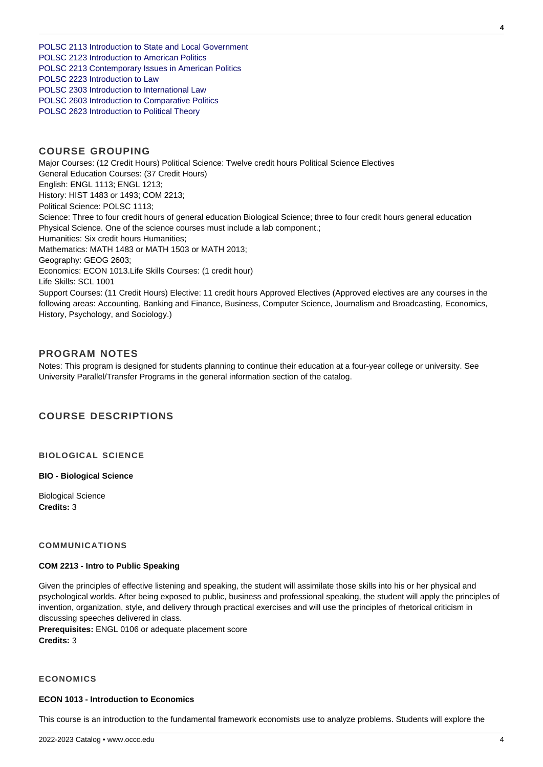[POLSC 2113 Introduction to State and Local Government](https://www.occc.edu/catalog/courses/political-science/introduction-to-state-and-local-government/) [POLSC 2123 Introduction to American Politics](https://www.occc.edu/catalog/courses/political-science/introduction-to-american-politics/) [POLSC 2213 Contemporary Issues in American Politics](https://www.occc.edu/catalog/courses/political-science/contemporary-issues-in-american-politics/) [POLSC 2223 Introduction to Law](https://www.occc.edu/catalog/courses/political-science/introduction-to-law/) [POLSC 2303 Introduction to International Law](/nas/content/live/occcmpr/courses/political-science/polsc-2303.html) [POLSC 2603 Introduction to Comparative Politics](https://www.occc.edu/catalog/courses/political-science/introduction-to-comparative-politics/) [POLSC 2623 Introduction to Political Theory](https://www.occc.edu/catalog/courses/political-science/introduction-to-political-theory/)

## **COURSE GROUPING**

Major Courses: (12 Credit Hours) Political Science: Twelve credit hours Political Science Electives General Education Courses: (37 Credit Hours) English: ENGL 1113; ENGL 1213; History: HIST 1483 or 1493; COM 2213; Political Science: POLSC 1113; Science: Three to four credit hours of general education Biological Science; three to four credit hours general education Physical Science. One of the science courses must include a lab component.; Humanities: Six credit hours Humanities; Mathematics: MATH 1483 or MATH 1503 or MATH 2013; Geography: GEOG 2603; Economics: ECON 1013.Life Skills Courses: (1 credit hour) Life Skills: SCL 1001 Support Courses: (11 Credit Hours) Elective: 11 credit hours Approved Electives (Approved electives are any courses in the following areas: Accounting, Banking and Finance, Business, Computer Science, Journalism and Broadcasting, Economics, History, Psychology, and Sociology.)

# **PROGRAM NOTES**

Notes: This program is designed for students planning to continue their education at a four-year college or university. See University Parallel/Transfer Programs in the general information section of the catalog.

# **COURSE DESCRIPTIONS**

## **BIOLOGICAL SCIENCE**

#### **BIO - Biological Science**

Biological Science **Credits:** 3

## **COMMUNICATIONS**

#### **COM 2213 - Intro to Public Speaking**

Given the principles of effective listening and speaking, the student will assimilate those skills into his or her physical and psychological worlds. After being exposed to public, business and professional speaking, the student will apply the principles of invention, organization, style, and delivery through practical exercises and will use the principles of rhetorical criticism in discussing speeches delivered in class.

**Prerequisites:** ENGL 0106 or adequate placement score **Credits:** 3

## **ECONOMICS**

#### **ECON 1013 - Introduction to Economics**

This course is an introduction to the fundamental framework economists use to analyze problems. Students will explore the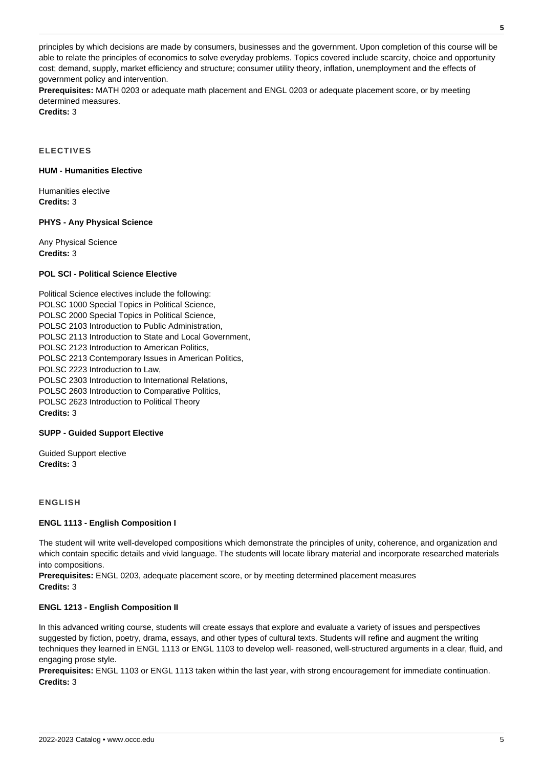principles by which decisions are made by consumers, businesses and the government. Upon completion of this course will be able to relate the principles of economics to solve everyday problems. Topics covered include scarcity, choice and opportunity cost; demand, supply, market efficiency and structure; consumer utility theory, inflation, unemployment and the effects of government policy and intervention.

**Prerequisites:** MATH 0203 or adequate math placement and ENGL 0203 or adequate placement score, or by meeting determined measures.

**Credits:** 3

**ELECTIVES**

## **HUM - Humanities Elective**

Humanities elective **Credits:** 3

### **PHYS - Any Physical Science**

Any Physical Science **Credits:** 3

### **POL SCI - Political Science Elective**

Political Science electives include the following: POLSC 1000 Special Topics in Political Science, POLSC 2000 Special Topics in Political Science, POLSC 2103 Introduction to Public Administration, POLSC 2113 Introduction to State and Local Government, POLSC 2123 Introduction to American Politics, POLSC 2213 Contemporary Issues in American Politics, POLSC 2223 Introduction to Law, POLSC 2303 Introduction to International Relations, POLSC 2603 Introduction to Comparative Politics, POLSC 2623 Introduction to Political Theory **Credits:** 3

#### **SUPP - Guided Support Elective**

Guided Support elective **Credits:** 3

## **ENGLISH**

## **ENGL 1113 - English Composition I**

The student will write well-developed compositions which demonstrate the principles of unity, coherence, and organization and which contain specific details and vivid language. The students will locate library material and incorporate researched materials into compositions.

**Prerequisites:** ENGL 0203, adequate placement score, or by meeting determined placement measures **Credits:** 3

#### **ENGL 1213 - English Composition II**

In this advanced writing course, students will create essays that explore and evaluate a variety of issues and perspectives suggested by fiction, poetry, drama, essays, and other types of cultural texts. Students will refine and augment the writing techniques they learned in ENGL 1113 or ENGL 1103 to develop well- reasoned, well-structured arguments in a clear, fluid, and engaging prose style.

**Prerequisites:** ENGL 1103 or ENGL 1113 taken within the last year, with strong encouragement for immediate continuation. **Credits:** 3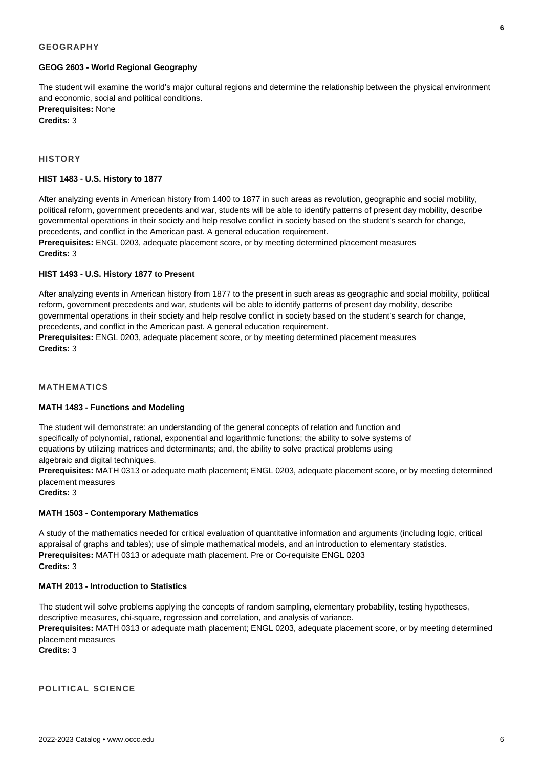## **GEOGRAPHY**

#### **GEOG 2603 - World Regional Geography**

The student will examine the world's major cultural regions and determine the relationship between the physical environment and economic, social and political conditions.

**Prerequisites:** None **Credits:** 3

#### **HISTORY**

#### **HIST 1483 - U.S. History to 1877**

After analyzing events in American history from 1400 to 1877 in such areas as revolution, geographic and social mobility, political reform, government precedents and war, students will be able to identify patterns of present day mobility, describe governmental operations in their society and help resolve conflict in society based on the student's search for change, precedents, and conflict in the American past. A general education requirement.

**Prerequisites:** ENGL 0203, adequate placement score, or by meeting determined placement measures **Credits:** 3

### **HIST 1493 - U.S. History 1877 to Present**

After analyzing events in American history from 1877 to the present in such areas as geographic and social mobility, political reform, government precedents and war, students will be able to identify patterns of present day mobility, describe governmental operations in their society and help resolve conflict in society based on the student's search for change, precedents, and conflict in the American past. A general education requirement.

**Prerequisites:** ENGL 0203, adequate placement score, or by meeting determined placement measures **Credits:** 3

#### **MATHEMATICS**

#### **MATH 1483 - Functions and Modeling**

The student will demonstrate: an understanding of the general concepts of relation and function and specifically of polynomial, rational, exponential and logarithmic functions; the ability to solve systems of equations by utilizing matrices and determinants; and, the ability to solve practical problems using algebraic and digital techniques.

**Prerequisites:** MATH 0313 or adequate math placement; ENGL 0203, adequate placement score, or by meeting determined placement measures

**Credits:** 3

#### **MATH 1503 - Contemporary Mathematics**

A study of the mathematics needed for critical evaluation of quantitative information and arguments (including logic, critical appraisal of graphs and tables); use of simple mathematical models, and an introduction to elementary statistics. **Prerequisites:** MATH 0313 or adequate math placement. Pre or Co-requisite ENGL 0203 **Credits:** 3

### **MATH 2013 - Introduction to Statistics**

The student will solve problems applying the concepts of random sampling, elementary probability, testing hypotheses, descriptive measures, chi-square, regression and correlation, and analysis of variance.

**Prerequisites:** MATH 0313 or adequate math placement; ENGL 0203, adequate placement score, or by meeting determined placement measures

**Credits:** 3

## **POLITICAL SCIENCE**